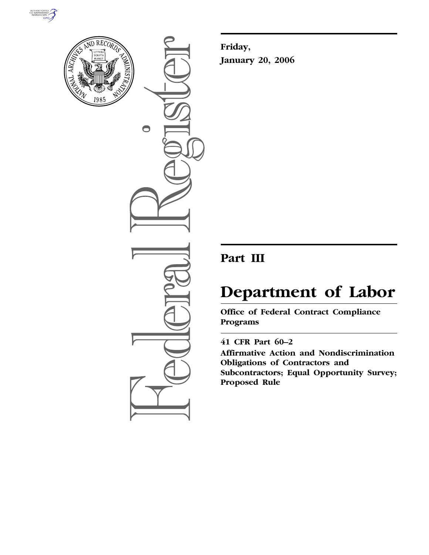



 $\bigcirc$ 

**Friday, January 20, 2006** 

## **Part III**

# **Department of Labor**

**Office of Federal Contract Compliance Programs** 

### **41 CFR Part 60–2**

**Affirmative Action and Nondiscrimination Obligations of Contractors and Subcontractors; Equal Opportunity Survey; Proposed Rule**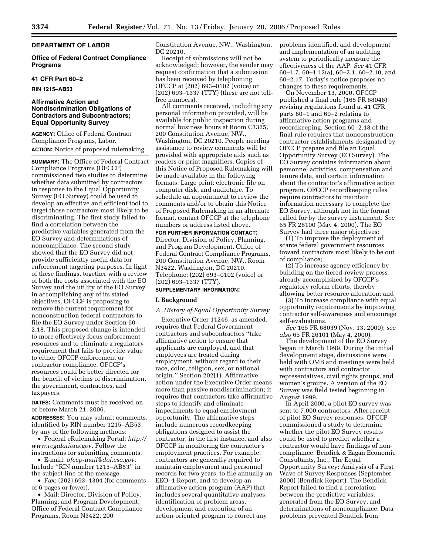#### **DEPARTMENT OF LABOR**

**Office of Federal Contract Compliance Programs** 

#### **41 CFR Part 60–2**

**RIN 1215–AB53** 

#### **Affirmative Action and Nondiscrimination Obligations of Contractors and Subcontractors; Equal Opportunity Survey**

**AGENCY:** Office of Federal Contract Compliance Programs, Labor. **ACTION:** Notice of proposed rulemaking.

**SUMMARY:** The Office of Federal Contract Compliance Programs (OFCCP) commissioned two studies to determine whether data submitted by contractors in response to the Equal Opportunity Survey (EO Survey) could be used to develop an effective and efficient tool to target those contractors most likely to be discriminating. The first study failed to find a correlation between the predictive variables generated from the EO Survey and determinations of noncompliance. The second study showed that the EO Survey did not provide sufficiently useful data for enforcement targeting purposes. In light of these findings, together with a review of both the costs associated with the EO Survey and the utility of the EO Survey in accomplishing any of its stated objectives, OFCCP is proposing to remove the current requirement for nonconstruction federal contractors to file the EO Survey under Section 60– 2.18. This proposed change is intended to more effectively focus enforcement resources and to eliminate a regulatory requirement that fails to provide value to either OFCCP enforcement or contractor compliance. OFCCP's resources could be better directed for the benefit of victims of discrimination, the government, contractors, and taxpayers.

**DATES:** Comments must be received on or before March 21, 2006.

**ADDRESSES:** You may submit comments, identified by RIN number 1215–AB53, by any of the following methods:

• Federal eRulemaking Portal: *http:// www.regulations.gov.* Follow the instructions for submitting comments.

• E-mail: *ofccp-mail@dol.esa.gov.*  Include ''RIN number 1215–AB53'' in the subject line of the message.

• Fax: (202) 693–1304 (for comments of 6 pages or fewer).

• Mail: Director, Division of Policy, Planning, and Program Development, Office of Federal Contract Compliance Programs, Room N3422, 200

Constitution Avenue, NW., Washington, DC 20210.

Receipt of submissions will not be acknowledged; however, the sender may request confirmation that a submission has been received by telephoning OFCCP at (202) 693–0102 (voice) or (202) 693–1337 (TTY) (these are not tollfree numbers).

All comments received, including any personal information provided, will be available for public inspection during normal business hours at Room C3325, 200 Constitution Avenue, NW., Washington, DC 20210. People needing assistance to review comments will be provided with appropriate aids such as readers or print magnifiers. Copies of this Notice of Proposed Rulemaking will be made available in the following formats: Large print; electronic file on computer disk; and audiotape. To schedule an appointment to review the comments and/or to obtain this Notice of Proposed Rulemaking in an alternate format, contact OFCCP at the telephone numbers or address listed above.

**FOR FURTHER INFORMATION CONTACT:**  Director, Division of Policy, Planning, and Program Development, Office of Federal Contract Compliance Programs, 200 Constitution Avenue, NW., Room N3422, Washington, DC 20210. Telephone: (202) 693–0102 (voice) or (202) 693–1337 (TTY).

#### **SUPPLEMENTARY INFORMATION:**

#### **I. Background**

#### *A. History of Equal Opportunity Survey*

Executive Order 11246, as amended, requires that Federal Government contractors and subcontractors ''take affirmative action to ensure that applicants are employed, and that employees are treated during employment, without regard to their race, color, religion, sex, or national origin.'' Section 202(1). Affirmative action under the Executive Order means more than passive nondiscrimination; it requires that contractors take affirmative steps to identify and eliminate impediments to equal employment opportunity. The affirmative steps include numerous recordkeeping obligations designed to assist the contractor, in the first instance, and also OFCCP in monitoring the contractor's employment practices. For example, contractors are generally required to maintain employment and personnel records for two years, to file annually an EEO–1 Report, and to develop an affirmative action program (AAP) that includes several quantitative analyses, identification of problem areas, development and execution of an action-oriented program to correct any

problems identified, and development and implementation of an auditing system to periodically measure the effectiveness of the AAP. *See* 41 CFR 60–1.7, 60–1.12(a), 60–2.1, 60–2.10, and 60–2.17. Today's notice proposes no changes to these requirements.

On November 13, 2000, OFCCP published a final rule (165 FR 68046) revising regulations found at 41 CFR parts 60–1 and 60–2 relating to affirmative action programs and recordkeeping. Section 60–2.18 of the final rule requires that nonconstruction contractor establishments designated by OFCCP prepare and file an Equal Opportunity Survey (EO Survey). The EO Survey contains information about personnel activities, compensation and tenure data, and certain information about the contractor's affirmative action program. OFCCP recordkeeping rules require contractors to maintain information necessary to complete the EO Survey, although not in the format called for by the survey instrument. *See*  65 FR 26100 (May 4, 2000). The EO Survey had three major objectives:

(1) To improve the deployment of scarce federal government resources toward contractors most likely to be out of compliance;

(2) To increase agency efficiency by building on the tiered-review process already accomplished by OFCCP's regulatory reform efforts, thereby allowing better resource allocation; and

(3) To increase compliance with equal opportunity requirements by improving contractor self-awareness and encourage self-evaluations.

*See* 165 FR 68039 (Nov. 13, 2000); *see also* 65 FR 26101 (May 4, 2000).

The development of the EO Survey began in March 1999. During the initial development stage, discussions were held with OMB and meetings were held with contractors and contractor representatives, civil rights groups, and women's groups. A version of the EO Survey was field tested beginning in August 1999.

In April 2000, a pilot EO survey was sent to 7,000 contractors. After receipt of pilot EO Survey responses, OFCCP commissioned a study to determine whether the pilot EO Survey results could be used to predict whether a contractor would have findings of noncompliance. Bendick & Eagan Economic Consultants, Inc., The Equal Opportunity Survey: Analysis of a First Wave of Survey Responses (September 2000) (Bendick Report). The Bendick Report failed to find a correlation between the predictive variables, generated from the EO Survey, and determinations of noncompliance. Data problems prevented Bendick from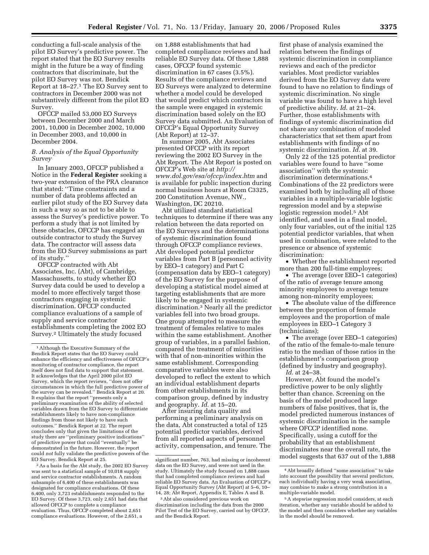conducting a full-scale analysis of the pilot EO Survey's predictive power. The report stated that the EO Survey results might in the future be a way of finding contractors that discriminate, but the pilot EO Survey was not. Bendick Report at 18–27.1 The EO Survey sent to contractors in December 2000 was not substantively different from the pilot EO Survey.

OFCCP mailed 53,000 EO Surveys between December 2000 and March 2001, 10,000 in December 2002, 10,000 in December 2003, and 10,000 in December 2004.

#### *B. Analysis of the Equal Opportunity Survey*

In January 2003, OFCCP published a Notice in the **Federal Register** seeking a two-year extension of the PRA clearance that stated: ''Time constraints and a number of data problems affected an earlier pilot study of the EO Survey data in such a way so as not to be able to assess the Survey's predictive power. To perform a study that is not limited by these obstacles, OFCCP has engaged an outside contractor to study the Survey data. The contractor will assess data from the EO Survey submissions as part of its study.''

OFCCP contracted with Abt Associates, Inc. (Abt), of Cambridge, Massachusetts, to study whether EO Survey data could be used to develop a model to more effectively target those contractors engaging in systemic discrimination. OFCCP conducted compliance evaluations of a sample of supply and service contractor establishments completing the 2002 EO Survey.2 Ultimately the study focused

2As a basis for the Abt study, the 2002 EO Survey was sent to a statistical sample of 10,018 supply and service contractor establishments. A random subsample of 6,400 of these establishments was designated for compliance evaluations. Of these 6,400, only 3,723 establishments responded to the EO Survey. Of these 3,723, only 2,651 had data that allowed OFCCP to complete a compliance evaluation. Thus, OFCCP completed about 2,651 compliance evaluations. However, of the 2,651, a

on 1,888 establishments that had completed compliance reviews and had reliable EO Survey data. Of these 1,888 cases, OFCCP found systemic discrimination in 67 cases (3.5%). Results of the compliance reviews and EO Surveys were analyzed to determine whether a model could be developed that would predict which contractors in the sample were engaged in systemic discrimination based solely on the EO Survey data submitted. An Evaluation of OFCCP's Equal Opportunity Survey (Abt Report) at 12–37.

In summer 2005, Abt Associates presented OFCCP with its report reviewing the 2002 EO Survey in the Abt Report. The Abt Report is posted on OFCCP's Web site at *http:// www.dol.gov/esa/ofccp/index.htm* and is available for public inspection during normal business hours at Room C3325, 200 Constitution Avenue, NW., Washington, DC 20210.

Abt utilized standard statistical techniques to determine if there was any relation between the data reported on the EO Surveys and the determinations of systemic discrimination found through OFCCP compliance reviews. Abt developed potential predictor variables from Part B (personnel activity by EEO–1 category) and Part C (compensation data by EEO–1 category) of the EO Survey for the purpose of developing a statistical model aimed at targeting establishments that are more likely to be engaged in systemic discrimination.3 Nearly all the predictor variables fell into two broad groups. One group attempted to measure the treatment of females relative to males within the same establishment. Another group of variables, in a parallel fashion, compared the treatment of minorities with that of non-minorities within the same establishment. Corresponding comparative variables were also developed to reflect the extent to which an individual establishment departs from other establishments in its comparison group, defined by industry and geography. *Id*. at 15–20.

After insuring data quality and performing a preliminary analysis on the data, Abt constructed a total of 125 potential predictor variables, derived from all reported aspects of personnel activity, compensation, and tenure. The

first phase of analysis examined the relation between the findings of systemic discrimination in compliance reviews and each of the predictor variables. Most predictor variables derived from the EO Survey data were found to have no relation to findings of systemic discrimination. No single variable was found to have a high level of predictive ability. *Id*. at 21–24. Further, those establishments with findings of systemic discrimination did not share any combination of modeled characteristics that set them apart from establishments with findings of no systemic discrimination. *Id*. at 39.

Only 22 of the 125 potential predictor variables were found to have ''some association'' with the systemic discrimination determinations.4 Combinations of the 22 predictors were examined both by including all of those variables in a multiple-variable logistic regression model and by a stepwise logistic regression model.<sup>5</sup> Abt identified, and used in a final model, only four variables, out of the initial 125 potential predictor variables, that when used in combination, were related to the presence or absence of systemic discrimination:

• Whether the establishment reported more than 200 full-time employees;

• The average (over EEO–1 categories) of the ratio of average tenure among minority employees to average tenure among non-minority employees;

• The absolute value of the difference between the proportion of female employees and the proportion of male employees in EEO–1 Category 3 (technicians);

• The average (over EEO–1 categories) of the ratio of the female-to-male tenure ratio to the median of those ratios in the establishment's comparison group (defined by industry and geography). *Id.* at 24–38.

However, Abt found the model's predictive power to be only slightly better than chance. Screening on the basis of the model produced large numbers of false positives, that is, the model predicted numerous instances of systemic discrimination in the sample where OFCCP identified none. Specifically, using a cutoff for the probability that an establishment discriminates near the overall rate, the model suggests that 637 out of the 1,888

<sup>1</sup>Although the Executive Summary of the Bendick Report states that the EO Survey could enhance the efficiency and effectiveness of OFCCP's monitoring of contractor compliance, the report itself does not find data to support that statement. It acknowledges that the April 2000 pilot EO Survey, which the report reviews, ''does not offer circumstances in which the full predictive power of the survey can be revealed.'' Bendick Report at 20. It explains that the report ''presents only a preliminary examination of the ability of selected variables drawn from the EO Survey to differentiate establishments likely to have non-compliance findings from those not likely to have such outcomes.'' Bendick Report at 22. The report concludes only that given the limitations of the study there are ''preliminary positive indications'' of predictive power that could ''eventually'' be demonstrated in the future. However, the report could *not* fully validate the predictive powers of the EO Survey. Bendick Report at 25.

significant number, 763, had missing or incoherent data on the EO Survey, and were not used in the study. Ultimately the study focused on 1,888 cases that had completed compliance reviews and had reliable EO Survey data. An Evaluation of OFCCP's Equal Opportunity Survey (Abt Report) at 5–6, 10– 14, 28; Abt Report, Appendix E, Tables A and B.

<sup>3</sup>Abt also considered previous work on discrimination including the data from the 2000 Pilot Test of the EO Survey, carried out by OFCCP, and the Bendick Report.

<sup>4</sup>Abt broadly defined ''some association'' to take into account the possibility that several predictors, each individually having a very weak association, may combine to make a strong contribution in a multiple-variable model.

<sup>5</sup>A stepwise regression model considers, at each iteration, whether any variable should be added to the model and then considers whether any variables in the model should be removed.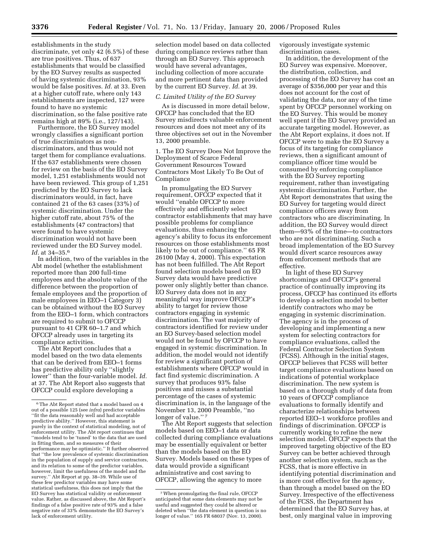establishments in the study discriminate, yet only 42 (6.5%) of these are true positives. Thus, of 637 establishments that would be classified by the EO Survey results as suspected of having systemic discrimination, 93% would be false positives. *Id.* at 33. Even at a higher cutoff rate, where only 143 establishments are inspected, 127 were found to have no systemic discrimination, so the false positive rate remains high at 89% (i.e., 127/143).

Furthermore, the EO Survey model wrongly classifies a significant portion of true discriminators as nondiscriminators, and thus would not target them for compliance evaluations. If the 637 establishments were chosen for review on the basis of the EO Survey model, 1,251 establishments would not have been reviewed. This group of 1,251 predicted by the EO Survey to lack discriminators would, in fact, have contained 21 of the 63 cases (33%) of systemic discrimination. Under the higher cutoff rate, about 75% of the establishments (47 contractors) that were found to have systemic discrimination would not have been reviewed under the EO Survey model. *Id.* at 34–35.6

In addition, two of the variables in the Abt model (whether the establishment reported more than 200 full-time employees and the absolute value of the difference between the proportion of female employees and the proportion of male employees in EEO–1 Category 3) can be obtained without the EO Survey from the EEO–1 form, which contractors are required to submit to OFCCP pursuant to 41 CFR 60–1.7 and which OFCCP already uses in targeting its compliance activities.

The Abt Report concludes that a model based on the two data elements that can be derived from EEO–1 forms has predictive ability only ''slightly lower'' than the four-variable model. *Id.*  at 37. The Abt Report also suggests that OFCCP could explore developing a

selection model based on data collected during compliance reviews rather than through an EO Survey. This approach would have several advantages, including collection of more accurate and more pertinent data than provided by the current EO Survey. *Id.* at 39.

#### *C. Limited Utility of the EO Survey*

As is discussed in more detail below, OFCCP has concluded that the EO Survey misdirects valuable enforcement resources and does not meet any of its three objectives set out in the November 13, 2000 preamble.

1. The EO Survey Does Not Improve the Deployment of Scarce Federal Government Resources Toward Contractors Most Likely To Be Out of Compliance

In promulgating the EO Survey requirement, OFCCP expected that it would ''enable OFCCP to more effectively and efficiently select contractor establishments that may have possible problems for compliance evaluations, thus enhancing the agency's ability to focus its enforcement resources on those establishments most likely to be out of compliance.'' 65 FR 26100 (May 4, 2000). This expectation has not been fulfilled. The Abt Report found selection models based on EO Survey data would have predictive power only slightly better than chance. EO Survey data does not in any meaningful way improve OFCCP's ability to target for review those contractors engaging in systemic discrimination. The vast majority of contractors identified for review under an EO Survey-based selection model would not be found by OFCCP to have engaged in systemic discrimination. In addition, the model would not identify for review a significant portion of establishments where OFCCP would in fact find systemic discrimination. A survey that produces 93% false positives and misses a substantial percentage of the cases of systemic discrimination is, in the language of the November 13, 2000 Preamble, ''no longer of value."<sup>7</sup>

The Abt Report suggests that selection models based on EEO–1 data or data collected during compliance evaluations may be essentially equivalent or better than the models based on the EO Survey. Models based on these types of data would provide a significant administrative and cost saving to OFCCP, allowing the agency to more

vigorously investigate systemic discrimination cases.

In addition, the development of the EO Survey was expensive. Moreover, the distribution, collection, and processing of the EO Survey has cost an average of \$356,000 per year and this does not account for the cost of validating the data, nor any of the time spent by OFCCP personnel working on the EO Survey. This would be money well spent if the EO Survey provided an accurate targeting model. However, as the Abt Report explains, it does not. If OFCCP were to make the EO Survey a focus of its targeting for compliance reviews, then a significant amount of compliance officer time would be consumed by enforcing compliance with the EO Survey reporting requirement, rather than investigating systemic discrimination. Further, the Abt Report demonstrates that using the EO Survey for targeting would direct compliance officers away from contractors who are discriminating. In addition, the EO Survey would direct them—93% of the time—to contractors who are not discriminating. Such a broad implementation of the EO Survey would divert scarce resources away from enforcement methods that are effective.

In light of these EO Survey shortcomings and OFCCP's general practice of continually improving its process, OFCCP has continued its efforts to develop a selection model to better identify contractors who may be engaging in systemic discrimination. The agency is in the process of developing and implementing a new system for selecting contractors for compliance evaluations, called the Federal Contractor Selection System (FCSS). Although in the initial stages, OFCCP believes that FCSS will better target compliance evaluations based on indications of potential workplace discrimination. The new system is based on a thorough study of data from 10 years of OFCCP compliance evaluations to formally identify and characterize relationships between reported EEO–1 workforce profiles and findings of discrimination. OFCCP is currently working to refine the new selection model. OFCCP expects that the improved targeting objective of the EO Survey can be better achieved through another selection system, such as the FCSS, that is more effective in identifying potential discrimination and is more cost effective for the agency, than through a model based on the EO Survey. Irrespective of the effectiveness of the FCSS, the Department has determined that the EO Survey has, at best, only marginal value in improving

<sup>6</sup>The Abt Report stated that a model based on 4 out of a possible 125 (see *infra*) predictor variables ''fit the data reasonably well and had acceptable predictive ability.'' However, this statement is purely in the context of statistical modeling, not of enforcement utility. The Abt report continues that ''models tend to be 'tuned' to the data that are used in fitting them, and so measures of their performance may be optimistic.'' It further observed that ''the low prevalence of systemic discrimination in the population of supply and service contractors, and its relation to some of the predictor variables, however, limit the usefulness of the model and the survey.'' Abt Report at pp. 38–39. While use of these few predictor variables may have some statistical usefulness, this does not imply that the EO Survey has statistical validity or enforcement value. Rather, as discussed above, the Abt Report's findings of a false positive rate of 93% and a false negative rate of 33% demonstrate the EO Survey's lack of enforcement utility.

<sup>7</sup>When promulgating the final rule, OFCCP anticipated that some data elements may not be useful and suggested they could be altered or deleted when ''the data element in question is no longer of value.'' 165 FR 68037 (Nov. 13, 2000).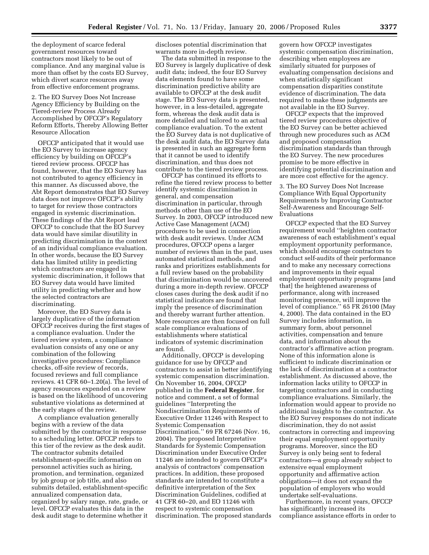the deployment of scarce federal government resources toward contractors most likely to be out of compliance. And any marginal value is more than offset by the costs EO Survey, which divert scarce resources away from effective enforcement programs.

2. The EO Survey Does Not Increase Agency Efficiency by Building on the Tiered-review Process Already Accomplished by OFCCP's Regulatory Reform Efforts, Thereby Allowing Better Resource Allocation

OFCCP anticipated that it would use the EO Survey to increase agency efficiency by building on OFCCP's tiered review process. OFCCP has found, however, that the EO Survey has not contributed to agency efficiency in this manner. As discussed above, the Abt Report demonstrates that EO Survey data does not improve OFCCP's ability to target for review those contractors engaged in systemic discrimination. These findings of the Abt Report lead OFCCP to conclude that the EO Survey data would have similar disutility in predicting discrimination in the context of an individual compliance evaluation. In other words, because the EO Survey data has limited utility in predicting which contractors are engaged in systemic discrimination, it follows that EO Survey data would have limited utility in predicting whether and how the selected contractors are discriminating.

Moreover, the EO Survey data is largely duplicative of the information OFCCP receives during the first stages of a compliance evaluation. Under the tiered review system, a compliance evaluation consists of any one or any combination of the following investigative procedures: Compliance checks, off-site review of records, focused reviews and full compliance reviews. 41 CFR 60–1.20(a). The level of agency resources expended on a review is based on the likelihood of uncovering substantive violations as determined at the early stages of the review.

A compliance evaluation generally begins with a review of the data submitted by the contractor in response to a scheduling letter. OFCCP refers to this tier of the review as the desk audit. The contractor submits detailed establishment-specific information on personnel activities such as hiring, promotion, and termination, organized by job group or job title, and also submits detailed, establishment-specific annualized compensation data, organized by salary range, rate, grade, or level. OFCCP evaluates this data in the desk audit stage to determine whether it

discloses potential discrimination that warrants more in-depth review.

The data submitted in response to the EO Survey is largely duplicative of desk audit data; indeed, the four EO Survey data elements found to have some discrimination predictive ability are available to OFCCP at the desk audit stage. The EO Survey data is presented, however, in a less-detailed, aggregate form, whereas the desk audit data is more detailed and tailored to an actual compliance evaluation. To the extent the EO Survey data is not duplicative of the desk audit data, the EO Survey data is presented in such an aggregate form that it cannot be used to identify discrimination, and thus does not contribute to the tiered review process.

OFCCP has continued its efforts to refine the tiered review process to better identify systemic discrimination in general, and compensation discrimination in particular, through methods other than use of the EO Survey. In 2003, OFCCP introduced new Active Case Management (ACM) procedures to be used in connection with desk audit reviews. Under ACM procedures, OFCCP opens a larger number of reviews than in the past, uses automated statistical methods, and ranks and prioritizes establishments for a full review based on the probability that discrimination would be uncovered during a more in-depth review. OFCCP closes cases during the desk audit if no statistical indicators are found that imply the presence of discrimination and thereby warrant further attention. More resources are then focused on full scale compliance evaluations of establishments where statistical indicators of systemic discrimination are found.

Additionally, OFCCP is developing guidance for use by OFCCP and contractors to assist in better identifying systemic compensation discrimination. On November 16, 2004, OFCCP published in the **Federal Register**, for notice and comment, a set of formal guidelines ''Interpreting the Nondiscrimination Requirements of Executive Order 11246 with Respect to Systemic Compensation Discrimination.'' 69 FR 67246 (Nov. 16, 2004). The proposed Interpretative Standards for Systemic Compensation Discrimination under Executive Order 11246 are intended to govern OFCCP's analysis of contractors' compensation practices. In addition, these proposed standards are intended to constitute a definitive interpretation of the Sex Discrimination Guidelines, codified at 41 CFR 60–20, and EO 11246 with respect to systemic compensation discrimination. The proposed standards

govern how OFCCP investigates systemic compensation discrimination, describing when employees are similarly situated for purposes of evaluating compensation decisions and when statistically significant compensation disparities constitute evidence of discrimination. The data required to make these judgments are not available in the EO Survey.

OFCCP expects that the improved tiered review procedures objective of the EO Survey can be better achieved through new procedures such as ACM and proposed compensation discrimination standards than through the EO Survey. The new procedures promise to be more effective in identifying potential discrimination and are more cost effective for the agency.

3. The EO Survey Does Not Increase Compliance With Equal Opportunity Requirements by Improving Contractor Self-Awareness and Encourage Self-Evaluations

OFCCP expected that the EO Survey requirement would ''heighten contractor awareness of each establishment's equal employment opportunity performance, which should encourage contractors to conduct self-audits of their performance and to make any necessary corrections and improvements in their equal employment opportunity programs [and that] the heightened awareness of performance, along with increased monitoring presence, will improve the level of compliance.'' 65 FR 26100 (May 4, 2000). The data contained in the EO Survey includes information, in summary form, about personnel activities, compensation and tenure data, and information about the contractor's affirmative action program. None of this information alone is sufficient to indicate discrimination or the lack of discrimination at a contractor establishment. As discussed above, the information lacks utility to OFCCP in targeting contractors and in conducting compliance evaluations. Similarly, the information would appear to provide no additional insights to the contractor. As the EO Survey responses do not indicate discrimination, they do not assist contractors in correcting and improving their equal employment opportunity programs. Moreover, since the EO Survey is only being sent to federal contractors—a group already subject to extensive equal employment opportunity and affirmative action obligations—it does not expand the population of employers who would undertake self-evaluations.

Furthermore, in recent years, OFCCP has significantly increased its compliance assistance efforts in order to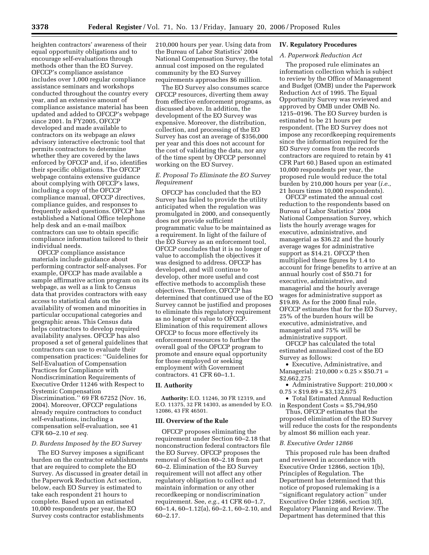heighten contractors' awareness of their equal opportunity obligations and to encourage self-evaluations through methods other than the EO Survey. OFCCP's compliance assistance includes over 1,000 regular compliance assistance seminars and workshops conducted throughout the country every year, and an extensive amount of compliance assistance material has been updated and added to OFCCP's webpage since 2001. In FY2005, OFCCP developed and made available to contractors on its webpage an *elaws*  advisory interactive electronic tool that permits contractors to determine whether they are covered by the laws enforced by OFCCP and, if so, identifies their specific obligations. The OFCCP webpage contains extensive guidance about complying with OFCCP's laws, including a copy of the OFCCP compliance manual, OFCCP directives, compliance guides, and responses to frequently asked questions. OFCCP has established a National Office telephone help desk and an e-mail mailbox contractors can use to obtain specific compliance information tailored to their individual needs.

OFCCP compliance assistance materials include guidance about performing contractor self-analyses. For example, OFCCP has made available a sample affirmative action program on its webpage, as well as a link to Census data that provides contractors with easy access to statistical data on the availability of women and minorities in particular occupational categories and geographic areas. This Census data helps contractors to develop required availability analyses. OFCCP has also proposed a set of general guidelines that contractors can use to evaluate their compensation practices: ''Guidelines for Self-Evaluation of Compensation Practices for Compliance with Nondiscrimination Requirements of Executive Order 11246 with Respect to Systemic Compensation Discrimination.'' 69 FR 67252 (Nov. 16, 2004). Moreover, OFCCP regulations already require contractors to conduct self-evaluations, including a compensation self-evaluation, see 41 CFR 60–2.10 *et seq.* 

#### *D. Burdens Imposed by the EO Survey*

The EO Survey imposes a significant burden on the contractor establishments that are required to complete the EO Survey. As discussed in greater detail in the Paperwork Reduction Act section, below, each EO Survey is estimated to take each respondent 21 hours to complete. Based upon an estimated 10,000 respondents per year, the EO Survey costs contractor establishments

210,000 hours per year. Using data from the Bureau of Labor Statistics' 2004 National Compensation Survey, the total annual cost imposed on the regulated community by the EO Survey requirements approaches \$6 million.

The EO Survey also consumes scarce OFCCP resources, diverting them away from effective enforcement programs, as discussed above. In addition, the development of the EO Survey was expensive. Moreover, the distribution, collection, and processing of the EO Survey has cost an average of \$356,000 per year and this does not account for the cost of validating the data, nor any of the time spent by OFCCP personnel working on the EO Survey.

#### *E. Proposal To Eliminate the EO Survey Requirement*

OFCCP has concluded that the EO Survey has failed to provide the utility anticipated when the regulation was promulgated in 2000, and consequently does not provide sufficient programmatic value to be maintained as a requirement. In light of the failure of the EO Survey as an enforcement tool, OFCCP concludes that it is no longer of value to accomplish the objectives it was designed to address. OFCCP has developed, and will continue to develop, other more useful and cost effective methods to accomplish these objectives. Therefore, OFCCP has determined that continued use of the EO Survey cannot be justified and proposes to eliminate this regulatory requirement as no longer of value to OFCCP. Elimination of this requirement allows OFCCP to focus more effectively its enforcement resources to further the overall goal of the OFCCP program to promote and ensure equal opportunity for those employed or seeking employment with Government contractors. 41 CFR 60–1.1.

#### **II. Authority**

**Authority:** E.O. 11246, 30 FR 12319, and E.O. 11375, 32 FR 14303, as amended by E.O. 12086, 43 FR 46501.

#### **III. Overview of the Rule**

OFCCP proposes eliminating the requirement under Section 60–2.18 that nonconstruction federal contractors file the EO Survey. OFCCP proposes the removal of Section 60–2.18 from part 60–2. Elimination of the EO Survey requirement will not affect any other regulatory obligation to collect and maintain information or any other recordkeeping or nondiscrimination requirement. See, *e.g.*, 41 CFR 60–1.7, 60–1.4, 60–1.12(a), 60–2.1, 60–2.10, and 60–2.17.

#### **IV. Regulatory Procedures**

#### *A. Paperwork Reduction Act*

The proposed rule eliminates an information collection which is subject to review by the Office of Management and Budget (OMB) under the Paperwork Reduction Act of 1995. The Equal Opportunity Survey was reviewed and approved by OMB under OMB No. 1215–0196. The EO Survey burden is estimated to be 21 hours per respondent. (The EO Survey does not impose any recordkeeping requirements since the information required for the EO Survey comes from the records contractors are required to retain by 41 CFR Part 60.) Based upon an estimated 10,000 respondents per year, the proposed rule would reduce the total burden by 210,000 hours per year (*i.e.*, 21 hours times 10,000 respondents).

OFCCP estimated the annual cost reduction to the respondents based on Bureau of Labor Statistics' 2004 National Compensation Survey, which lists the hourly average wages for executive, administrative, and managerial as \$36.22 and the hourly average wages for administrative support as \$14.21. OFCCP then multiplied these figures by 1.4 to account for fringe benefits to arrive at an annual hourly cost of \$50.71 for executive, administrative, and managerial and the hourly average wages for administrative support as \$19.89. As for the 2000 final rule, OFCCP estimates that for the EO Survey, 25% of the burden hours will be executive, administrative, and managerial and 75% will be administrative support.

OFCCP has calculated the total estimated annualized cost of the EO Survey as follows:

• Executive, Administrative, and Managerial:  $210,000 \times 0.25 \times $50.71 =$ \$2,662,275

• Administrative Support: 210,000 ×  $0.75 \times $19.89 = $3,132,675$ 

• Total Estimated Annual Reduction in Respondent Costs = \$5,794,950

Thus, OFCCP estimates that the proposed elimination of the EO Survey will reduce the costs for the respondents by almost \$6 million each year.

#### *B. Executive Order 12866*

This proposed rule has been drafted and reviewed in accordance with Executive Order 12866, section 1(b), Principles of Regulation. The Department has determined that this notice of proposed rulemaking is a ''significant regulatory action'' under Executive Order 12866, section 3(f), Regulatory Planning and Review. The Department has determined that this